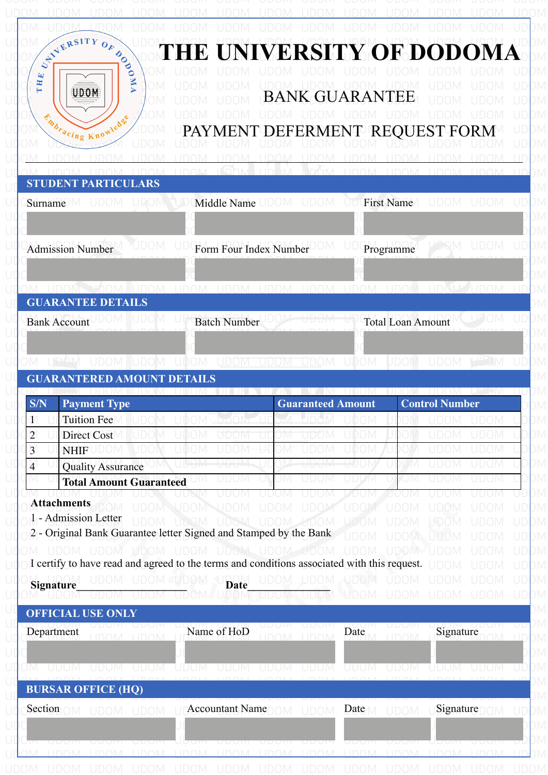| STVERSITY<br>HE UNIVERSITY OF DODOMA<br>DODO<br>THE<br>Z<br><b>UDOM</b><br><b>BANK GUARANTEE</b><br>Enbracing Knowledge<br>PAYMENT DEFERMENT REO<br>RМ<br><b>STUDENT PARTICULARS</b><br>UDOM UDOMiddle Name UDOM UDOM UDOFirst Name<br><b>UDOM</b><br>UDOM<br><b>Surname</b><br>UDOM<br>JDOM<br>Form Four Index Number<br>Programme<br><b>Admission Number</b><br><b>TIDAM TIDAM</b><br><b>LIDOM</b><br><b>IIDOM</b><br><u>LIDOM</u><br><b>GUARANTEE DETAILS</b><br><b>Total Loan Amount</b><br><b>Batch Number</b><br><b>Bank Account</b><br>UDOM UDOM UDOM UDOM UDOM<br>UDOM<br><b>UDOM</b><br>UDOM UDOM<br><b>GUARANTERED AMOUNT DETAILS</b><br><b>Control Number</b><br><b>Guaranteed Amount</b><br><b>Payment Type</b><br>Tuition Fee<br>UDOM<br>UDOM<br>UDOM<br>UDOM<br><b>Direct Cost</b><br>UDOM<br>JDOM<br>JDOM<br>JW.<br>UDOM<br>UDOM<br>UDOM<br>JDOM<br>JDOM<br>JDOM<br><b>NHIF</b><br>H₩<br><b>Quality Assurance</b><br>JDOM<br><b>Total Amount Guaranteed</b><br>UW<br><b>Attachments</b><br>ÒМ<br>UDOM UDOM UDOM<br>UDOM<br>UDOM<br>$\cup$ ) ( ) $\cup$<br>$\Box$ $\Box$ $\Box$ $\Box$<br>$\Box$ ) ( ) $\Box$<br>$1 -$ Admission Letter<br><b>UDOM</b><br>UDOM UDOM<br><b>LIDOM</b><br>UDOM<br><b>REDOM</b><br>UDOM<br>UDOM<br>$ID($ $M$<br>2 - Original Bank Guarantee letter Signed and Stamped by the Bank<br>UDOM<br><b>TDOM</b><br>JDOM<br>UDOM UDOM UDOM UDOM UDOM<br>UDOM UDOM<br><b>UDOM</b><br><b>UDOM</b><br>UDOM<br><b>JDOM</b><br>I certify to have read and agreed to the terms and conditions associated with this request.<br>UDOM<br><b>UDOM</b><br>UDOM JUDOM UDOM<br><b>UDOM</b><br><b>UDOM</b><br><b>UDOM</b><br><b>UDOM</b><br>UDOM<br>JDOM<br>Signature<br><b>UDOM</b><br><b>UDOM</b><br><b>UDOM</b><br><b>UDOM</b><br><b>OFFICIAL USE ONLY</b><br>UDUM<br>uduivi<br>udun<br>Signature<br>Name of HoD<br>Department<br>Date<br>LIDOM LIDOM<br><b>LIDOM</b><br>LIDOMA<br>1100M<br>UDOM<br>UDOM.<br><b>UDOM</b><br>UDOM UDOM<br>UDOM<br>UDOM<br>UDOM.<br>UDOM<br>UDOM<br>UDOM<br><b>BURSAR OFFICE (HQ)</b><br>Section OM UDOM UDOM ULAccountant NameDOM UDOM<br>$Date \wedge \cup \text{DOM}$<br>Signature $\bigcirc$ $\bigcirc$ |                                           |       |  |  |  |  |        |
|-------------------------------------------------------------------------------------------------------------------------------------------------------------------------------------------------------------------------------------------------------------------------------------------------------------------------------------------------------------------------------------------------------------------------------------------------------------------------------------------------------------------------------------------------------------------------------------------------------------------------------------------------------------------------------------------------------------------------------------------------------------------------------------------------------------------------------------------------------------------------------------------------------------------------------------------------------------------------------------------------------------------------------------------------------------------------------------------------------------------------------------------------------------------------------------------------------------------------------------------------------------------------------------------------------------------------------------------------------------------------------------------------------------------------------------------------------------------------------------------------------------------------------------------------------------------------------------------------------------------------------------------------------------------------------------------------------------------------------------------------------------------------------------------------------------------------------------------------------------------------------------------------------------------------------------------------------------------------------------------------------------------------------------------------------------------------------------------------------------------------------------------------------------------|-------------------------------------------|-------|--|--|--|--|--------|
|                                                                                                                                                                                                                                                                                                                                                                                                                                                                                                                                                                                                                                                                                                                                                                                                                                                                                                                                                                                                                                                                                                                                                                                                                                                                                                                                                                                                                                                                                                                                                                                                                                                                                                                                                                                                                                                                                                                                                                                                                                                                                                                                                                   |                                           | $O_F$ |  |  |  |  |        |
|                                                                                                                                                                                                                                                                                                                                                                                                                                                                                                                                                                                                                                                                                                                                                                                                                                                                                                                                                                                                                                                                                                                                                                                                                                                                                                                                                                                                                                                                                                                                                                                                                                                                                                                                                                                                                                                                                                                                                                                                                                                                                                                                                                   |                                           |       |  |  |  |  |        |
|                                                                                                                                                                                                                                                                                                                                                                                                                                                                                                                                                                                                                                                                                                                                                                                                                                                                                                                                                                                                                                                                                                                                                                                                                                                                                                                                                                                                                                                                                                                                                                                                                                                                                                                                                                                                                                                                                                                                                                                                                                                                                                                                                                   |                                           |       |  |  |  |  |        |
|                                                                                                                                                                                                                                                                                                                                                                                                                                                                                                                                                                                                                                                                                                                                                                                                                                                                                                                                                                                                                                                                                                                                                                                                                                                                                                                                                                                                                                                                                                                                                                                                                                                                                                                                                                                                                                                                                                                                                                                                                                                                                                                                                                   |                                           |       |  |  |  |  |        |
|                                                                                                                                                                                                                                                                                                                                                                                                                                                                                                                                                                                                                                                                                                                                                                                                                                                                                                                                                                                                                                                                                                                                                                                                                                                                                                                                                                                                                                                                                                                                                                                                                                                                                                                                                                                                                                                                                                                                                                                                                                                                                                                                                                   |                                           |       |  |  |  |  |        |
|                                                                                                                                                                                                                                                                                                                                                                                                                                                                                                                                                                                                                                                                                                                                                                                                                                                                                                                                                                                                                                                                                                                                                                                                                                                                                                                                                                                                                                                                                                                                                                                                                                                                                                                                                                                                                                                                                                                                                                                                                                                                                                                                                                   |                                           |       |  |  |  |  |        |
|                                                                                                                                                                                                                                                                                                                                                                                                                                                                                                                                                                                                                                                                                                                                                                                                                                                                                                                                                                                                                                                                                                                                                                                                                                                                                                                                                                                                                                                                                                                                                                                                                                                                                                                                                                                                                                                                                                                                                                                                                                                                                                                                                                   |                                           |       |  |  |  |  |        |
|                                                                                                                                                                                                                                                                                                                                                                                                                                                                                                                                                                                                                                                                                                                                                                                                                                                                                                                                                                                                                                                                                                                                                                                                                                                                                                                                                                                                                                                                                                                                                                                                                                                                                                                                                                                                                                                                                                                                                                                                                                                                                                                                                                   |                                           |       |  |  |  |  |        |
|                                                                                                                                                                                                                                                                                                                                                                                                                                                                                                                                                                                                                                                                                                                                                                                                                                                                                                                                                                                                                                                                                                                                                                                                                                                                                                                                                                                                                                                                                                                                                                                                                                                                                                                                                                                                                                                                                                                                                                                                                                                                                                                                                                   |                                           |       |  |  |  |  |        |
|                                                                                                                                                                                                                                                                                                                                                                                                                                                                                                                                                                                                                                                                                                                                                                                                                                                                                                                                                                                                                                                                                                                                                                                                                                                                                                                                                                                                                                                                                                                                                                                                                                                                                                                                                                                                                                                                                                                                                                                                                                                                                                                                                                   |                                           |       |  |  |  |  |        |
|                                                                                                                                                                                                                                                                                                                                                                                                                                                                                                                                                                                                                                                                                                                                                                                                                                                                                                                                                                                                                                                                                                                                                                                                                                                                                                                                                                                                                                                                                                                                                                                                                                                                                                                                                                                                                                                                                                                                                                                                                                                                                                                                                                   |                                           |       |  |  |  |  |        |
|                                                                                                                                                                                                                                                                                                                                                                                                                                                                                                                                                                                                                                                                                                                                                                                                                                                                                                                                                                                                                                                                                                                                                                                                                                                                                                                                                                                                                                                                                                                                                                                                                                                                                                                                                                                                                                                                                                                                                                                                                                                                                                                                                                   |                                           |       |  |  |  |  |        |
|                                                                                                                                                                                                                                                                                                                                                                                                                                                                                                                                                                                                                                                                                                                                                                                                                                                                                                                                                                                                                                                                                                                                                                                                                                                                                                                                                                                                                                                                                                                                                                                                                                                                                                                                                                                                                                                                                                                                                                                                                                                                                                                                                                   |                                           |       |  |  |  |  |        |
|                                                                                                                                                                                                                                                                                                                                                                                                                                                                                                                                                                                                                                                                                                                                                                                                                                                                                                                                                                                                                                                                                                                                                                                                                                                                                                                                                                                                                                                                                                                                                                                                                                                                                                                                                                                                                                                                                                                                                                                                                                                                                                                                                                   |                                           |       |  |  |  |  |        |
|                                                                                                                                                                                                                                                                                                                                                                                                                                                                                                                                                                                                                                                                                                                                                                                                                                                                                                                                                                                                                                                                                                                                                                                                                                                                                                                                                                                                                                                                                                                                                                                                                                                                                                                                                                                                                                                                                                                                                                                                                                                                                                                                                                   |                                           |       |  |  |  |  |        |
|                                                                                                                                                                                                                                                                                                                                                                                                                                                                                                                                                                                                                                                                                                                                                                                                                                                                                                                                                                                                                                                                                                                                                                                                                                                                                                                                                                                                                                                                                                                                                                                                                                                                                                                                                                                                                                                                                                                                                                                                                                                                                                                                                                   |                                           |       |  |  |  |  |        |
|                                                                                                                                                                                                                                                                                                                                                                                                                                                                                                                                                                                                                                                                                                                                                                                                                                                                                                                                                                                                                                                                                                                                                                                                                                                                                                                                                                                                                                                                                                                                                                                                                                                                                                                                                                                                                                                                                                                                                                                                                                                                                                                                                                   |                                           |       |  |  |  |  |        |
|                                                                                                                                                                                                                                                                                                                                                                                                                                                                                                                                                                                                                                                                                                                                                                                                                                                                                                                                                                                                                                                                                                                                                                                                                                                                                                                                                                                                                                                                                                                                                                                                                                                                                                                                                                                                                                                                                                                                                                                                                                                                                                                                                                   |                                           |       |  |  |  |  |        |
|                                                                                                                                                                                                                                                                                                                                                                                                                                                                                                                                                                                                                                                                                                                                                                                                                                                                                                                                                                                                                                                                                                                                                                                                                                                                                                                                                                                                                                                                                                                                                                                                                                                                                                                                                                                                                                                                                                                                                                                                                                                                                                                                                                   |                                           |       |  |  |  |  |        |
|                                                                                                                                                                                                                                                                                                                                                                                                                                                                                                                                                                                                                                                                                                                                                                                                                                                                                                                                                                                                                                                                                                                                                                                                                                                                                                                                                                                                                                                                                                                                                                                                                                                                                                                                                                                                                                                                                                                                                                                                                                                                                                                                                                   |                                           |       |  |  |  |  |        |
|                                                                                                                                                                                                                                                                                                                                                                                                                                                                                                                                                                                                                                                                                                                                                                                                                                                                                                                                                                                                                                                                                                                                                                                                                                                                                                                                                                                                                                                                                                                                                                                                                                                                                                                                                                                                                                                                                                                                                                                                                                                                                                                                                                   |                                           |       |  |  |  |  |        |
|                                                                                                                                                                                                                                                                                                                                                                                                                                                                                                                                                                                                                                                                                                                                                                                                                                                                                                                                                                                                                                                                                                                                                                                                                                                                                                                                                                                                                                                                                                                                                                                                                                                                                                                                                                                                                                                                                                                                                                                                                                                                                                                                                                   |                                           |       |  |  |  |  |        |
|                                                                                                                                                                                                                                                                                                                                                                                                                                                                                                                                                                                                                                                                                                                                                                                                                                                                                                                                                                                                                                                                                                                                                                                                                                                                                                                                                                                                                                                                                                                                                                                                                                                                                                                                                                                                                                                                                                                                                                                                                                                                                                                                                                   |                                           |       |  |  |  |  |        |
|                                                                                                                                                                                                                                                                                                                                                                                                                                                                                                                                                                                                                                                                                                                                                                                                                                                                                                                                                                                                                                                                                                                                                                                                                                                                                                                                                                                                                                                                                                                                                                                                                                                                                                                                                                                                                                                                                                                                                                                                                                                                                                                                                                   | N.                                        |       |  |  |  |  |        |
|                                                                                                                                                                                                                                                                                                                                                                                                                                                                                                                                                                                                                                                                                                                                                                                                                                                                                                                                                                                                                                                                                                                                                                                                                                                                                                                                                                                                                                                                                                                                                                                                                                                                                                                                                                                                                                                                                                                                                                                                                                                                                                                                                                   |                                           |       |  |  |  |  |        |
|                                                                                                                                                                                                                                                                                                                                                                                                                                                                                                                                                                                                                                                                                                                                                                                                                                                                                                                                                                                                                                                                                                                                                                                                                                                                                                                                                                                                                                                                                                                                                                                                                                                                                                                                                                                                                                                                                                                                                                                                                                                                                                                                                                   |                                           |       |  |  |  |  |        |
|                                                                                                                                                                                                                                                                                                                                                                                                                                                                                                                                                                                                                                                                                                                                                                                                                                                                                                                                                                                                                                                                                                                                                                                                                                                                                                                                                                                                                                                                                                                                                                                                                                                                                                                                                                                                                                                                                                                                                                                                                                                                                                                                                                   |                                           |       |  |  |  |  |        |
|                                                                                                                                                                                                                                                                                                                                                                                                                                                                                                                                                                                                                                                                                                                                                                                                                                                                                                                                                                                                                                                                                                                                                                                                                                                                                                                                                                                                                                                                                                                                                                                                                                                                                                                                                                                                                                                                                                                                                                                                                                                                                                                                                                   | S/N<br>$\overline{4}$                     |       |  |  |  |  | JD     |
|                                                                                                                                                                                                                                                                                                                                                                                                                                                                                                                                                                                                                                                                                                                                                                                                                                                                                                                                                                                                                                                                                                                                                                                                                                                                                                                                                                                                                                                                                                                                                                                                                                                                                                                                                                                                                                                                                                                                                                                                                                                                                                                                                                   |                                           |       |  |  |  |  |        |
|                                                                                                                                                                                                                                                                                                                                                                                                                                                                                                                                                                                                                                                                                                                                                                                                                                                                                                                                                                                                                                                                                                                                                                                                                                                                                                                                                                                                                                                                                                                                                                                                                                                                                                                                                                                                                                                                                                                                                                                                                                                                                                                                                                   |                                           |       |  |  |  |  |        |
|                                                                                                                                                                                                                                                                                                                                                                                                                                                                                                                                                                                                                                                                                                                                                                                                                                                                                                                                                                                                                                                                                                                                                                                                                                                                                                                                                                                                                                                                                                                                                                                                                                                                                                                                                                                                                                                                                                                                                                                                                                                                                                                                                                   |                                           |       |  |  |  |  |        |
|                                                                                                                                                                                                                                                                                                                                                                                                                                                                                                                                                                                                                                                                                                                                                                                                                                                                                                                                                                                                                                                                                                                                                                                                                                                                                                                                                                                                                                                                                                                                                                                                                                                                                                                                                                                                                                                                                                                                                                                                                                                                                                                                                                   |                                           |       |  |  |  |  |        |
|                                                                                                                                                                                                                                                                                                                                                                                                                                                                                                                                                                                                                                                                                                                                                                                                                                                                                                                                                                                                                                                                                                                                                                                                                                                                                                                                                                                                                                                                                                                                                                                                                                                                                                                                                                                                                                                                                                                                                                                                                                                                                                                                                                   |                                           |       |  |  |  |  |        |
|                                                                                                                                                                                                                                                                                                                                                                                                                                                                                                                                                                                                                                                                                                                                                                                                                                                                                                                                                                                                                                                                                                                                                                                                                                                                                                                                                                                                                                                                                                                                                                                                                                                                                                                                                                                                                                                                                                                                                                                                                                                                                                                                                                   |                                           |       |  |  |  |  | UD     |
|                                                                                                                                                                                                                                                                                                                                                                                                                                                                                                                                                                                                                                                                                                                                                                                                                                                                                                                                                                                                                                                                                                                                                                                                                                                                                                                                                                                                                                                                                                                                                                                                                                                                                                                                                                                                                                                                                                                                                                                                                                                                                                                                                                   |                                           |       |  |  |  |  |        |
|                                                                                                                                                                                                                                                                                                                                                                                                                                                                                                                                                                                                                                                                                                                                                                                                                                                                                                                                                                                                                                                                                                                                                                                                                                                                                                                                                                                                                                                                                                                                                                                                                                                                                                                                                                                                                                                                                                                                                                                                                                                                                                                                                                   |                                           |       |  |  |  |  |        |
|                                                                                                                                                                                                                                                                                                                                                                                                                                                                                                                                                                                                                                                                                                                                                                                                                                                                                                                                                                                                                                                                                                                                                                                                                                                                                                                                                                                                                                                                                                                                                                                                                                                                                                                                                                                                                                                                                                                                                                                                                                                                                                                                                                   |                                           |       |  |  |  |  |        |
|                                                                                                                                                                                                                                                                                                                                                                                                                                                                                                                                                                                                                                                                                                                                                                                                                                                                                                                                                                                                                                                                                                                                                                                                                                                                                                                                                                                                                                                                                                                                                                                                                                                                                                                                                                                                                                                                                                                                                                                                                                                                                                                                                                   | $\overline{2}$<br>$\overline{3}$<br>) IVI |       |  |  |  |  |        |
|                                                                                                                                                                                                                                                                                                                                                                                                                                                                                                                                                                                                                                                                                                                                                                                                                                                                                                                                                                                                                                                                                                                                                                                                                                                                                                                                                                                                                                                                                                                                                                                                                                                                                                                                                                                                                                                                                                                                                                                                                                                                                                                                                                   |                                           |       |  |  |  |  | $\Box$ |
| LIDOM LIDOM LIDOM LIDOM LIDOM LIDOM LIDOM LIDOM LIDOM LIDOM LIDOM LID                                                                                                                                                                                                                                                                                                                                                                                                                                                                                                                                                                                                                                                                                                                                                                                                                                                                                                                                                                                                                                                                                                                                                                                                                                                                                                                                                                                                                                                                                                                                                                                                                                                                                                                                                                                                                                                                                                                                                                                                                                                                                             |                                           |       |  |  |  |  |        |